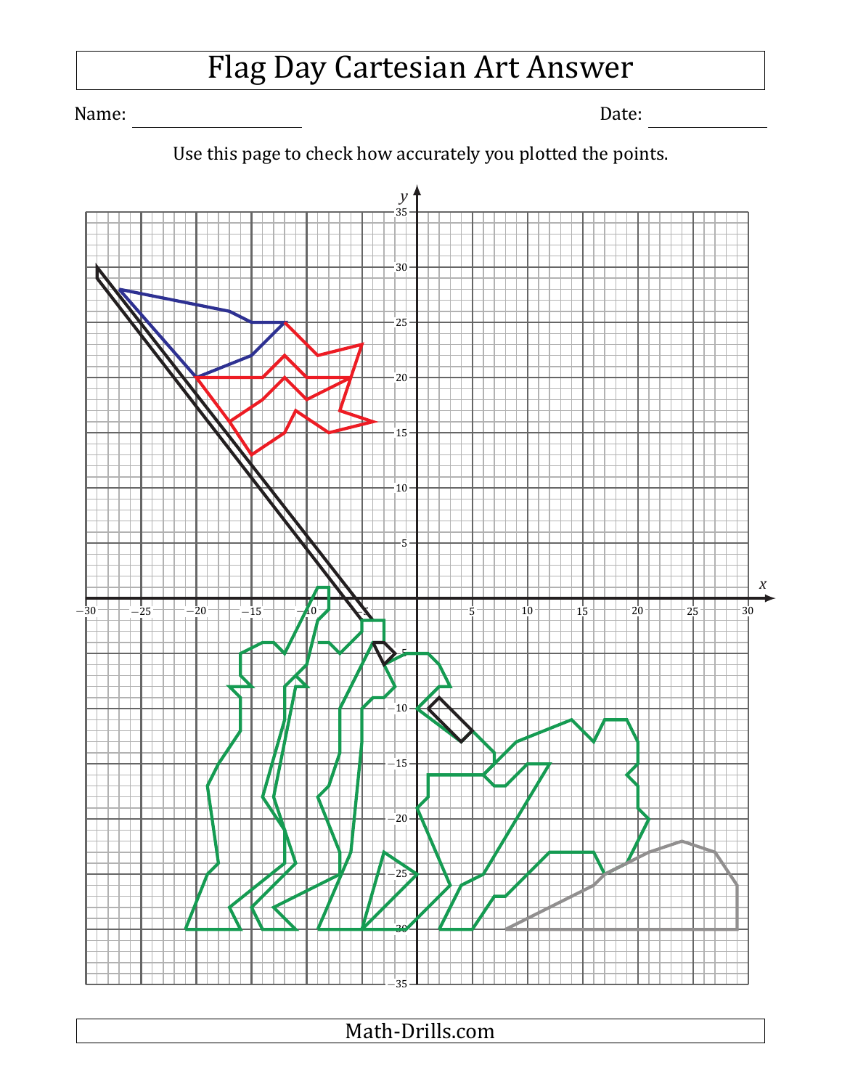# Flag Day Cartesian Art Answer

Name: Date:



### Use this page to check how accurately you plotted the points.

Math-Drills.com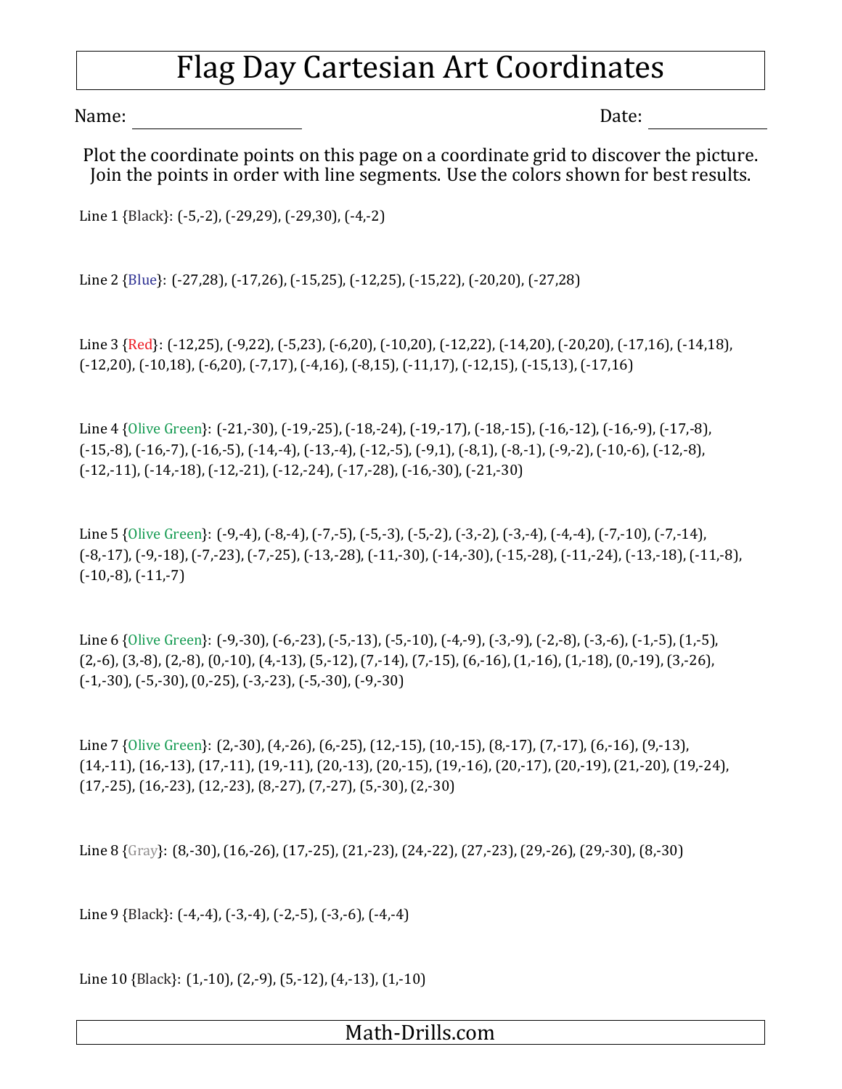## Flag Day Cartesian Art Coordinates

Name: Date:

Plot the coordinate points on this page on a coordinate grid to discover the picture. Join the points in order with line segments. Use the colors shown for best results.

Line 1 {Black}: (-5,-2), (-29,29), (-29,30), (-4,-2)

Line 2 {Blue}: (-27,28), (-17,26), (-15,25), (-12,25), (-15,22), (-20,20), (-27,28)

Line 3 {Red}: (-12,25), (-9,22), (-5,23), (-6,20), (-10,20), (-12,22), (-14,20), (-20,20), (-17,16), (-14,18), (-12,20), (-10,18), (-6,20), (-7,17), (-4,16), (-8,15), (-11,17), (-12,15), (-15,13), (-17,16)

Line 4 {Olive Green}: (-21,-30), (-19,-25), (-18,-24), (-19,-17), (-18,-15), (-16,-12), (-16,-9), (-17,-8), (-15,-8), (-16,-7), (-16,-5), (-14,-4), (-13,-4), (-12,-5), (-9,1), (-8,1), (-8,-1), (-9,-2), (-10,-6), (-12,-8), (-12,-11), (-14,-18), (-12,-21), (-12,-24), (-17,-28), (-16,-30), (-21,-30)

Line 5 {Olive Green}: (-9,-4), (-8,-4), (-7,-5), (-5,-3), (-5,-2), (-3,-2), (-3,-4), (-4,-4), (-7,-10), (-7,-14), (-8,-17), (-9,-18), (-7,-23), (-7,-25), (-13,-28), (-11,-30), (-14,-30), (-15,-28), (-11,-24), (-13,-18), (-11,-8),  $(-10,-8)$ ,  $(-11,-7)$ 

Line 6 {Olive Green}: (-9,-30), (-6,-23), (-5,-13), (-5,-10), (-4,-9), (-3,-9), (-2,-8), (-3,-6), (-1,-5), (1,-5), (2,-6), (3,-8), (2,-8), (0,-10), (4,-13), (5,-12), (7,-14), (7,-15), (6,-16), (1,-16), (1,-18), (0,-19), (3,-26), (-1,-30), (-5,-30), (0,-25), (-3,-23), (-5,-30), (-9,-30)

Line 7 {Olive Green}: (2,-30), (4,-26), (6,-25), (12,-15), (10,-15), (8,-17), (7,-17), (6,-16), (9,-13), (14,-11), (16,-13), (17,-11), (19,-11), (20,-13), (20,-15), (19,-16), (20,-17), (20,-19), (21,-20), (19,-24), (17,-25), (16,-23), (12,-23), (8,-27), (7,-27), (5,-30), (2,-30)

Line 8 {Gray}: (8,-30), (16,-26), (17,-25), (21,-23), (24,-22), (27,-23), (29,-26), (29,-30), (8,-30)

Line 9 {Black}: (-4,-4), (-3,-4), (-2,-5), (-3,-6), (-4,-4)

Line 10 {Black}: (1,-10), (2,-9), (5,-12), (4,-13), (1,-10)

#### Math-Drills.com